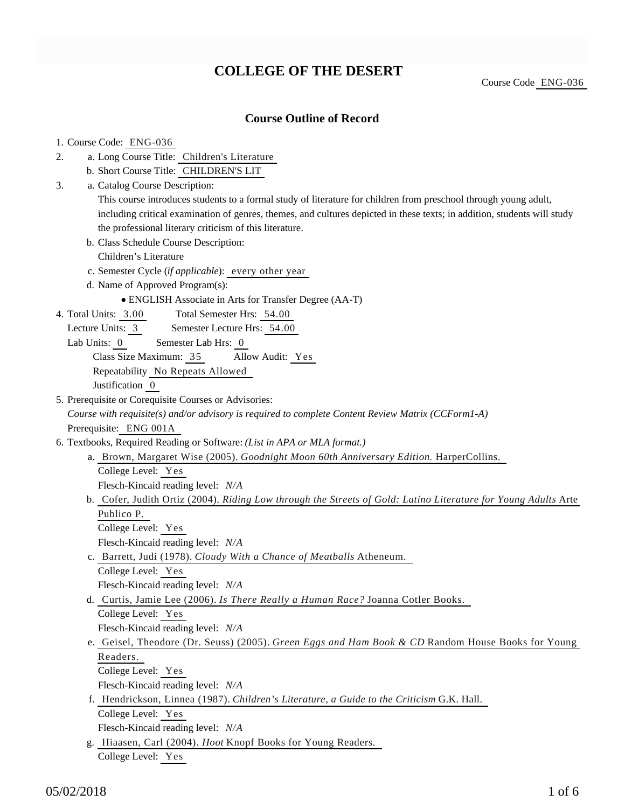## **COLLEGE OF THE DESERT**

Course Code ENG-036

### **Course Outline of Record**

### 1. Course Code: ENG-036 a. Long Course Title: Children's Literature b. Short Course Title: CHILDREN'S LIT 2. Catalog Course Description: a. This course introduces students to a formal study of literature for children from preschool through young adult, including critical examination of genres, themes, and cultures depicted in these texts; in addition, students will study the professional literary criticism of this literature. b. Class Schedule Course Description: Children's Literature c. Semester Cycle (*if applicable*): every other year d. Name of Approved Program(s): ENGLISH Associate in Arts for Transfer Degree (AA-T) 3. Total Semester Hrs: 54.00 Lecture Units: 3 Semester Lecture Hrs: 54.00 Lab Units: 0 Semester Lab Hrs: 0 Class Size Maximum: 35 Allow Audit: Yes Repeatability No Repeats Allowed Justification 0 4. Total Units: 3.00 5. Prerequisite or Corequisite Courses or Advisories: *Course with requisite(s) and/or advisory is required to complete Content Review Matrix (CCForm1-A)* Prerequisite: ENG 001A 6. Textbooks, Required Reading or Software: (List in APA or MLA format.) a. Brown, Margaret Wise (2005). Goodnight Moon 60th Anniversary Edition. HarperCollins. College Level: Yes Flesch-Kincaid reading level: *N/A* b. Cofer, Judith Ortiz (2004). *Riding Low through the Streets of Gold: Latino Literature for Young Adults* Arte Publico P. College Level: Yes Flesch-Kincaid reading level: *N/A* c. Barrett, Judi (1978). *Cloudy With a Chance of Meatballs* Atheneum. College Level: Yes Flesch-Kincaid reading level: *N/A* d. Curtis, Jamie Lee (2006). *Is There Really a Human Race?* Joanna Cotler Books. College Level: Yes Flesch-Kincaid reading level: *N/A* e. Geisel, Theodore (Dr. Seuss) (2005). *Green Eggs and Ham Book & CD* Random House Books for Young Readers. College Level: Yes Flesch-Kincaid reading level: *N/A* f. Hendrickson, Linnea (1987). *Children's Literature, a Guide to the Criticism* G.K. Hall. College Level: Yes Flesch-Kincaid reading level: *N/A* g. Hiaasen, Carl (2004). *Hoot* Knopf Books for Young Readers.

College Level: Yes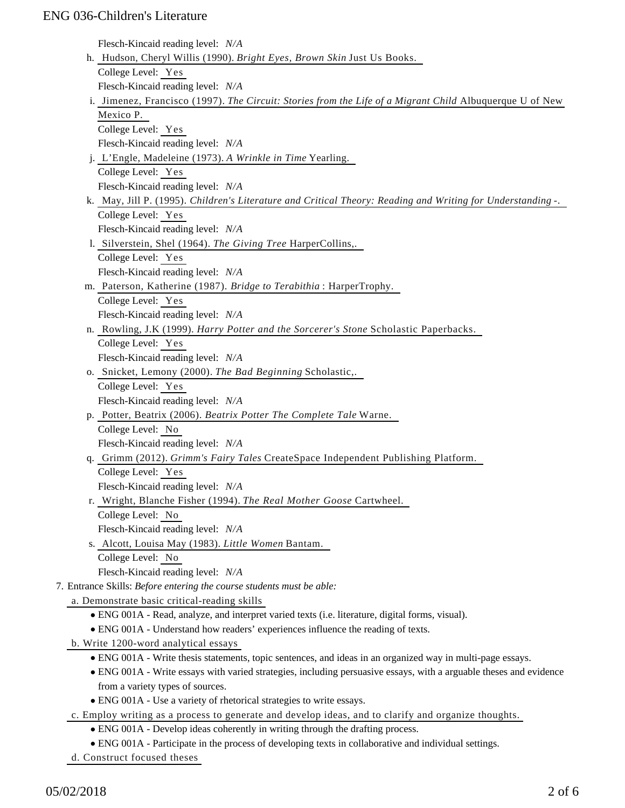| Flesch-Kincaid reading level: N/A                                                                                  |  |
|--------------------------------------------------------------------------------------------------------------------|--|
| h. Hudson, Cheryl Willis (1990). Bright Eyes, Brown Skin Just Us Books.                                            |  |
| College Level: Yes                                                                                                 |  |
| Flesch-Kincaid reading level: N/A                                                                                  |  |
| i. Jimenez, Francisco (1997). The Circuit: Stories from the Life of a Migrant Child Albuquerque U of New           |  |
| Mexico P.                                                                                                          |  |
| College Level: Yes                                                                                                 |  |
| Flesch-Kincaid reading level: N/A                                                                                  |  |
| j. L'Engle, Madeleine (1973). A Wrinkle in Time Yearling.                                                          |  |
| College Level: Yes                                                                                                 |  |
| Flesch-Kincaid reading level: N/A                                                                                  |  |
| k. May, Jill P. (1995). Children's Literature and Critical Theory: Reading and Writing for Understanding -.        |  |
| College Level: Yes                                                                                                 |  |
| Flesch-Kincaid reading level: N/A                                                                                  |  |
| 1. Silverstein, Shel (1964). The Giving Tree HarperCollins,.                                                       |  |
| College Level: Yes                                                                                                 |  |
| Flesch-Kincaid reading level: N/A                                                                                  |  |
| m. Paterson, Katherine (1987). Bridge to Terabithia: HarperTrophy.                                                 |  |
| College Level: Yes                                                                                                 |  |
| Flesch-Kincaid reading level: N/A                                                                                  |  |
| n. Rowling, J.K (1999). Harry Potter and the Sorcerer's Stone Scholastic Paperbacks.                               |  |
| College Level: Yes                                                                                                 |  |
| Flesch-Kincaid reading level: N/A                                                                                  |  |
| o. Snicket, Lemony (2000). The Bad Beginning Scholastic,.                                                          |  |
| College Level: Yes                                                                                                 |  |
| Flesch-Kincaid reading level: N/A                                                                                  |  |
| p. Potter, Beatrix (2006). Beatrix Potter The Complete Tale Warne.                                                 |  |
| College Level: No                                                                                                  |  |
| Flesch-Kincaid reading level: N/A                                                                                  |  |
| q. Grimm (2012). Grimm's Fairy Tales CreateSpace Independent Publishing Platform.                                  |  |
| College Level: Yes                                                                                                 |  |
| Flesch-Kincaid reading level: N/A                                                                                  |  |
| r. Wright, Blanche Fisher (1994). The Real Mother Goose Cartwheel.                                                 |  |
| College Level: No                                                                                                  |  |
| Flesch-Kincaid reading level: N/A                                                                                  |  |
| s. Alcott, Louisa May (1983). Little Women Bantam.                                                                 |  |
| College Level: No                                                                                                  |  |
| Flesch-Kincaid reading level: N/A                                                                                  |  |
| 7. Entrance Skills: Before entering the course students must be able:                                              |  |
| a. Demonstrate basic critical-reading skills                                                                       |  |
| • ENG 001A - Read, analyze, and interpret varied texts (i.e. literature, digital forms, visual).                   |  |
| • ENG 001A - Understand how readers' experiences influence the reading of texts.                                   |  |
| b. Write 1200-word analytical essays                                                                               |  |
| • ENG 001A - Write thesis statements, topic sentences, and ideas in an organized way in multi-page essays.         |  |
| • ENG 001A - Write essays with varied strategies, including persuasive essays, with a arguable theses and evidence |  |
| from a variety types of sources.                                                                                   |  |
| • ENG 001A - Use a variety of rhetorical strategies to write essays.                                               |  |
| c. Employ writing as a process to generate and develop ideas, and to clarify and organize thoughts.                |  |
| • ENG 001A - Develop ideas coherently in writing through the drafting process.                                     |  |
| • ENG 001A - Participate in the process of developing texts in collaborative and individual settings.              |  |

d. Construct focused theses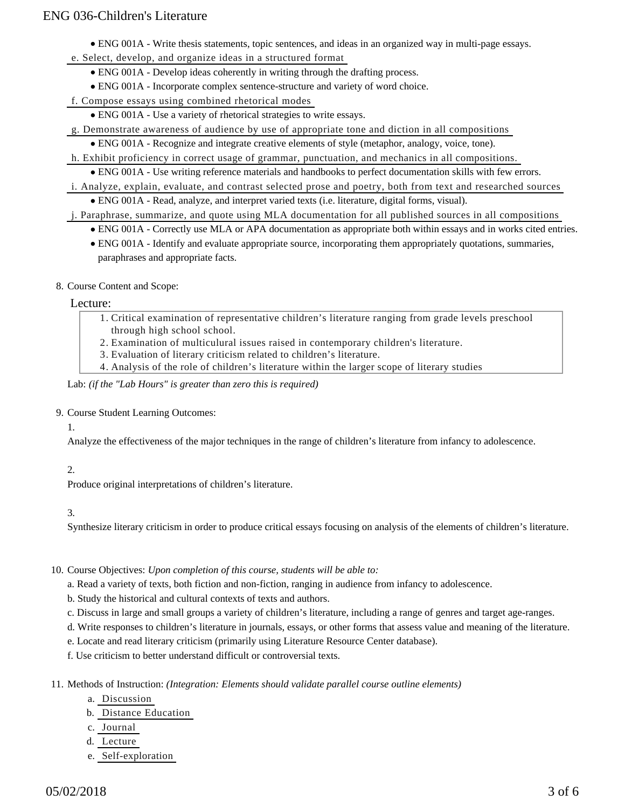- ENG 001A Write thesis statements, topic sentences, and ideas in an organized way in multi-page essays.
- e. Select, develop, and organize ideas in a structured format
	- ENG 001A Develop ideas coherently in writing through the drafting process.
	- ENG 001A Incorporate complex sentence-structure and variety of word choice.
- f. Compose essays using combined rhetorical modes
	- ENG 001A Use a variety of rhetorical strategies to write essays.
- g. Demonstrate awareness of audience by use of appropriate tone and diction in all compositions
	- ENG 001A Recognize and integrate creative elements of style (metaphor, analogy, voice, tone).
- h. Exhibit proficiency in correct usage of grammar, punctuation, and mechanics in all compositions.
	- ENG 001A Use writing reference materials and handbooks to perfect documentation skills with few errors.
- i. Analyze, explain, evaluate, and contrast selected prose and poetry, both from text and researched sources ENG 001A - Read, analyze, and interpret varied texts (i.e. literature, digital forms, visual).
- j. Paraphrase, summarize, and quote using MLA documentation for all published sources in all compositions
	- ENG 001A Correctly use MLA or APA documentation as appropriate both within essays and in works cited entries.
	- ENG 001A Identify and evaluate appropriate source, incorporating them appropriately quotations, summaries, paraphrases and appropriate facts.
- 8. Course Content and Scope:

#### Lecture:

- Critical examination of representative children's literature ranging from grade levels preschool 1. through high school school.
- 2. Examination of multiculural issues raised in contemporary children's literature.
- 3. Evaluation of literary criticism related to children's literature.
- 4. Analysis of the role of children's literature within the larger scope of literary studies

#### Lab: *(if the "Lab Hours" is greater than zero this is required)*

- 9. Course Student Learning Outcomes:
	- 1.

Analyze the effectiveness of the major techniques in the range of children's literature from infancy to adolescence.

#### 2.

Produce original interpretations of children's literature.

#### 3.

Synthesize literary criticism in order to produce critical essays focusing on analysis of the elements of children's literature.

#### 10. Course Objectives: Upon completion of this course, students will be able to:

a. Read a variety of texts, both fiction and non-fiction, ranging in audience from infancy to adolescence.

- b. Study the historical and cultural contexts of texts and authors.
- c. Discuss in large and small groups a variety of children's literature, including a range of genres and target age-ranges.
- d. Write responses to children's literature in journals, essays, or other forms that assess value and meaning of the literature.
- e. Locate and read literary criticism (primarily using Literature Resource Center database).
- f. Use criticism to better understand difficult or controversial texts.

11. Methods of Instruction: *(Integration: Elements should validate parallel course outline elements)* 

- a. Discussion
- b. Distance Education
- c. Journal
- d. Lecture
- e. Self-exploration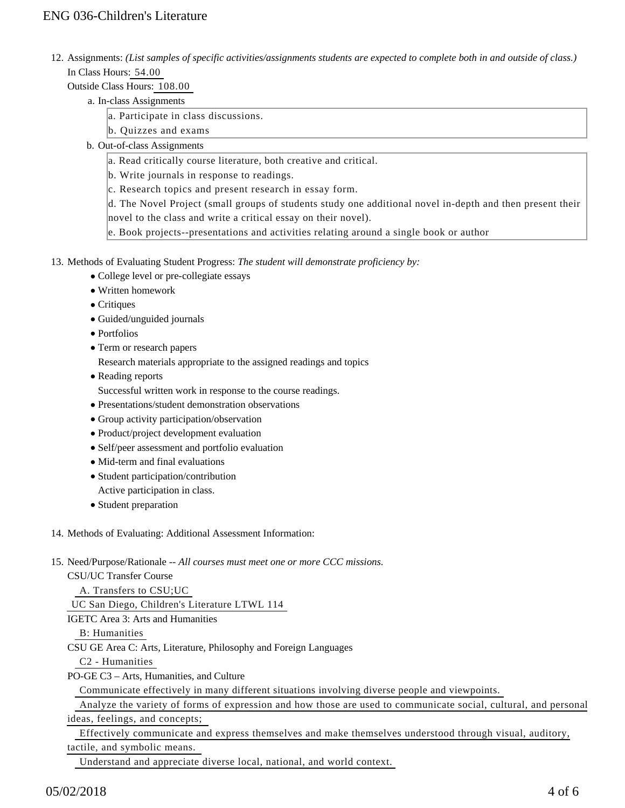12. Assignments: (List samples of specific activities/assignments students are expected to complete both in and outside of class.) In Class Hours: 54.00

Outside Class Hours: 108.00

- a. In-class Assignments
	- a. Participate in class discussions.
	- b. Quizzes and exams
- b. Out-of-class Assignments
	- a. Read critically course literature, both creative and critical.
	- b. Write journals in response to readings.
	- c. Research topics and present research in essay form.

d. The Novel Project (small groups of students study one additional novel in-depth and then present their novel to the class and write a critical essay on their novel).

e. Book projects--presentations and activities relating around a single book or author

- 13. Methods of Evaluating Student Progress: The student will demonstrate proficiency by:
	- College level or pre-collegiate essays
	- Written homework
	- Critiques
	- Guided/unguided journals
	- Portfolios
	- Term or research papers

Research materials appropriate to the assigned readings and topics

• Reading reports

Successful written work in response to the course readings.

- Presentations/student demonstration observations
- Group activity participation/observation
- Product/project development evaluation
- Self/peer assessment and portfolio evaluation
- Mid-term and final evaluations
- Student participation/contribution Active participation in class.
- Student preparation
- 14. Methods of Evaluating: Additional Assessment Information:
- 15. Need/Purpose/Rationale -- All courses must meet one or more CCC missions.

CSU/UC Transfer Course A. Transfers to CSU;UC

UC San Diego, Children's Literature LTWL 114

IGETC Area 3: Arts and Humanities

B: Humanities

CSU GE Area C: Arts, Literature, Philosophy and Foreign Languages

C2 - Humanities

PO-GE C3 – Arts, Humanities, and Culture

Communicate effectively in many different situations involving diverse people and viewpoints.

 Analyze the variety of forms of expression and how those are used to communicate social, cultural, and personal ideas, feelings, and concepts;

 Effectively communicate and express themselves and make themselves understood through visual, auditory, tactile, and symbolic means.

Understand and appreciate diverse local, national, and world context.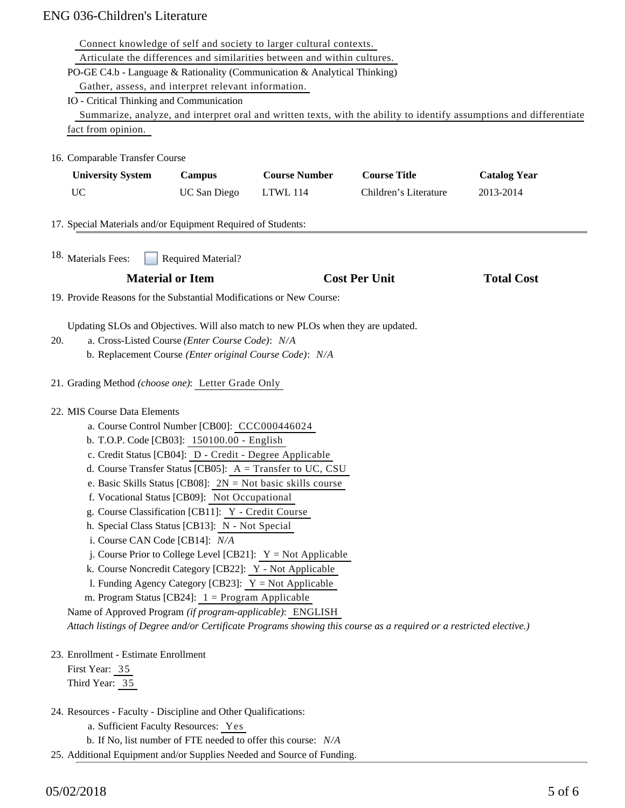|                                                                      |                                                         | Connect knowledge of self and society to larger cultural contexts.               |                                                                                                                    |                                                                                                                      |
|----------------------------------------------------------------------|---------------------------------------------------------|----------------------------------------------------------------------------------|--------------------------------------------------------------------------------------------------------------------|----------------------------------------------------------------------------------------------------------------------|
|                                                                      |                                                         | Articulate the differences and similarities between and within cultures.         |                                                                                                                    |                                                                                                                      |
|                                                                      |                                                         | PO-GE C4.b - Language & Rationality (Communication & Analytical Thinking)        |                                                                                                                    |                                                                                                                      |
|                                                                      | Gather, assess, and interpret relevant information.     |                                                                                  |                                                                                                                    |                                                                                                                      |
| IO - Critical Thinking and Communication                             |                                                         |                                                                                  |                                                                                                                    |                                                                                                                      |
|                                                                      |                                                         |                                                                                  |                                                                                                                    | Summarize, analyze, and interpret oral and written texts, with the ability to identify assumptions and differentiate |
| fact from opinion.                                                   |                                                         |                                                                                  |                                                                                                                    |                                                                                                                      |
| 16. Comparable Transfer Course                                       |                                                         |                                                                                  |                                                                                                                    |                                                                                                                      |
| <b>University System</b>                                             | <b>Campus</b>                                           | <b>Course Number</b>                                                             | <b>Course Title</b>                                                                                                | <b>Catalog Year</b>                                                                                                  |
| <b>UC</b>                                                            | UC San Diego                                            | <b>LTWL 114</b>                                                                  | Children's Literature                                                                                              | 2013-2014                                                                                                            |
| 17. Special Materials and/or Equipment Required of Students:         |                                                         |                                                                                  |                                                                                                                    |                                                                                                                      |
| <sup>18.</sup> Materials Fees:                                       | <b>Required Material?</b>                               |                                                                                  |                                                                                                                    |                                                                                                                      |
|                                                                      | <b>Material or Item</b>                                 |                                                                                  | <b>Cost Per Unit</b>                                                                                               | <b>Total Cost</b>                                                                                                    |
| 19. Provide Reasons for the Substantial Modifications or New Course: |                                                         |                                                                                  |                                                                                                                    |                                                                                                                      |
|                                                                      |                                                         |                                                                                  |                                                                                                                    |                                                                                                                      |
|                                                                      |                                                         | Updating SLOs and Objectives. Will also match to new PLOs when they are updated. |                                                                                                                    |                                                                                                                      |
| 20.                                                                  | a. Cross-Listed Course (Enter Course Code): N/A         |                                                                                  |                                                                                                                    |                                                                                                                      |
|                                                                      | b. Replacement Course (Enter original Course Code): N/A |                                                                                  |                                                                                                                    |                                                                                                                      |
| 21. Grading Method (choose one): Letter Grade Only                   |                                                         |                                                                                  |                                                                                                                    |                                                                                                                      |
| 22. MIS Course Data Elements                                         |                                                         |                                                                                  |                                                                                                                    |                                                                                                                      |
|                                                                      | a. Course Control Number [CB00]: CCC000446024           |                                                                                  |                                                                                                                    |                                                                                                                      |
|                                                                      | b. T.O.P. Code [CB03]: 150100.00 - English              |                                                                                  |                                                                                                                    |                                                                                                                      |
|                                                                      | c. Credit Status [CB04]: D - Credit - Degree Applicable |                                                                                  |                                                                                                                    |                                                                                                                      |
|                                                                      |                                                         | d. Course Transfer Status [CB05]: $A = Transfer to UC, CSU$                      |                                                                                                                    |                                                                                                                      |
|                                                                      |                                                         | e. Basic Skills Status [CB08]: $2N = Not basic skills course$                    |                                                                                                                    |                                                                                                                      |
|                                                                      | f. Vocational Status [CB09]: Not Occupational           |                                                                                  |                                                                                                                    |                                                                                                                      |
|                                                                      | g. Course Classification [CB11]: Y - Credit Course      |                                                                                  |                                                                                                                    |                                                                                                                      |
|                                                                      | h. Special Class Status [CB13]: N - Not Special         |                                                                                  |                                                                                                                    |                                                                                                                      |
| i. Course CAN Code [CB14]: N/A                                       |                                                         |                                                                                  |                                                                                                                    |                                                                                                                      |
|                                                                      |                                                         | j. Course Prior to College Level [CB21]: $Y = Not$ Applicable                    |                                                                                                                    |                                                                                                                      |
|                                                                      | k. Course Noncredit Category [CB22]: Y - Not Applicable |                                                                                  |                                                                                                                    |                                                                                                                      |
|                                                                      | 1. Funding Agency Category [CB23]: $Y = Not$ Applicable |                                                                                  |                                                                                                                    |                                                                                                                      |
|                                                                      | m. Program Status [CB24]: $1 =$ Program Applicable      |                                                                                  |                                                                                                                    |                                                                                                                      |
| Name of Approved Program (if program-applicable): ENGLISH            |                                                         |                                                                                  |                                                                                                                    |                                                                                                                      |
|                                                                      |                                                         |                                                                                  | Attach listings of Degree and/or Certificate Programs showing this course as a required or a restricted elective.) |                                                                                                                      |
| 23. Enrollment - Estimate Enrollment                                 |                                                         |                                                                                  |                                                                                                                    |                                                                                                                      |
| First Year: 35                                                       |                                                         |                                                                                  |                                                                                                                    |                                                                                                                      |
| Third Year: 35                                                       |                                                         |                                                                                  |                                                                                                                    |                                                                                                                      |
| 24. Resources - Faculty - Discipline and Other Qualifications:       |                                                         |                                                                                  |                                                                                                                    |                                                                                                                      |
|                                                                      | a. Sufficient Faculty Resources: Yes                    |                                                                                  |                                                                                                                    |                                                                                                                      |
|                                                                      |                                                         | b. If No, list number of FTE needed to offer this course: N/A                    |                                                                                                                    |                                                                                                                      |

25. Additional Equipment and/or Supplies Needed and Source of Funding.